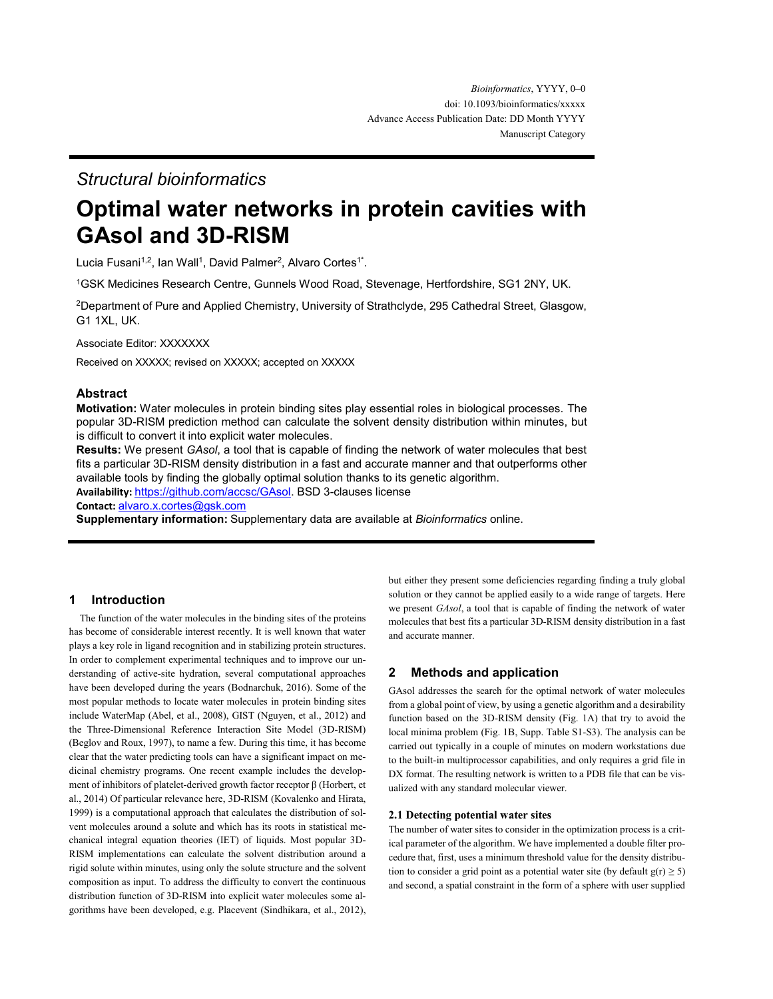# *Structural bioinformatics*

# **Optimal water networks in protein cavities with GAsol and 3D-RISM**

Lucia Fusani<sup>1,2</sup>, Ian Wall<sup>1</sup>, David Palmer<sup>2</sup>, Alvaro Cortes<sup>1\*</sup>.

<sup>1</sup>GSK Medicines Research Centre, Gunnels Wood Road, Stevenage, Hertfordshire, SG1 2NY, UK.

<sup>2</sup>Department of Pure and Applied Chemistry, University of Strathclyde, 295 Cathedral Street, Glasgow, G1 1XL, UK.

Associate Editor: XXXXXXX

Received on XXXXX; revised on XXXXX; accepted on XXXXX

## **Abstract**

**Motivation:** Water molecules in protein binding sites play essential roles in biological processes. The popular 3D-RISM prediction method can calculate the solvent density distribution within minutes, but is difficult to convert it into explicit water molecules.

**Results:** We present *GAsol*, a tool that is capable of finding the network of water molecules that best fits a particular 3D-RISM density distribution in a fast and accurate manner and that outperforms other available tools by finding the globally optimal solution thanks to its genetic algorithm.

**Availability:** [https://github.com/accsc/GAsol.](https://github.com/accsc/GAsol) BSD 3-clauses license

**Contact:** [alvaro.x.cortes@gsk.com](mailto:alvaro.x.cortes@gsk.com)

**Supplementary information:** Supplementary data are available at *Bioinformatics* online.

## **1 Introduction**

The function of the water molecules in the binding sites of the proteins has become of considerable interest recently. It is well known that water plays a key role in ligand recognition and in stabilizing protein structures. In order to complement experimental techniques and to improve our understanding of active-site hydration, several computational approaches have been developed during the years (Bodnarchuk, 2016). Some of the most popular methods to locate water molecules in protein binding sites include WaterMap (Abel, et al., 2008), GIST (Nguyen, et al., 2012) and the Three-Dimensional Reference Interaction Site Model (3D-RISM) (Beglov and Roux, 1997), to name a few. During this time, it has become clear that the water predicting tools can have a significant impact on medicinal chemistry programs. One recent example includes the development of inhibitors of platelet-derived growth factor receptor β (Horbert, et al., 2014) Of particular relevance here, 3D-RISM (Kovalenko and Hirata, 1999) is a computational approach that calculates the distribution of solvent molecules around a solute and which has its roots in statistical mechanical integral equation theories (IET) of liquids. Most popular 3D-RISM implementations can calculate the solvent distribution around a rigid solute within minutes, using only the solute structure and the solvent composition as input. To address the difficulty to convert the continuous distribution function of 3D-RISM into explicit water molecules some algorithms have been developed, e.g. Placevent (Sindhikara, et al., 2012),

but either they present some deficiencies regarding finding a truly global solution or they cannot be applied easily to a wide range of targets. Here we present *GAsol*, a tool that is capable of finding the network of water molecules that best fits a particular 3D-RISM density distribution in a fast and accurate manner.

# **2 Methods and application**

GAsol addresses the search for the optimal network of water molecules from a global point of view, by using a genetic algorithm and a desirability function based on the 3D-RISM density (Fig. 1A) that try to avoid the local minima problem (Fig. 1B, Supp. Table S1-S3). The analysis can be carried out typically in a couple of minutes on modern workstations due to the built-in multiprocessor capabilities, and only requires a grid file in DX format. The resulting network is written to a PDB file that can be visualized with any standard molecular viewer.

### **2.1 Detecting potential water sites**

The number of water sites to consider in the optimization process is a critical parameter of the algorithm. We have implemented a double filter procedure that, first, uses a minimum threshold value for the density distribution to consider a grid point as a potential water site (by default  $g(r) \ge 5$ ) and second, a spatial constraint in the form of a sphere with user supplied